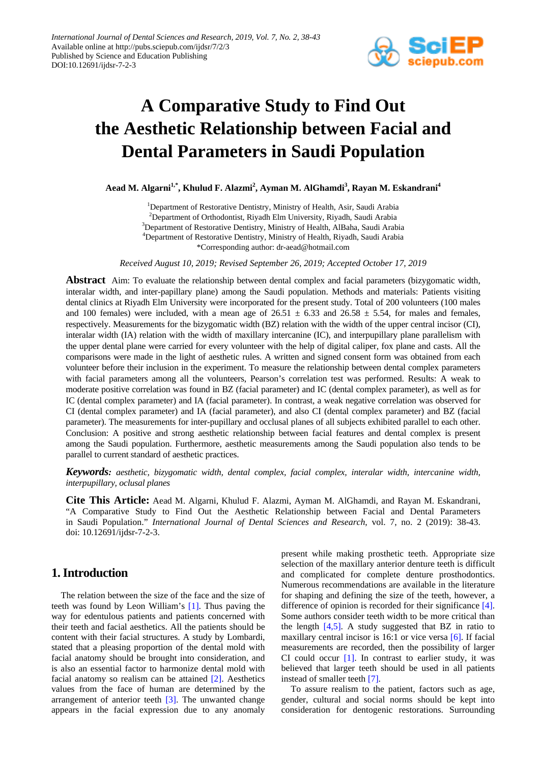

# **A Comparative Study to Find Out the Aesthetic Relationship between Facial and Dental Parameters in Saudi Population**

**Aead M. Algarni1,\*, Khulud F. Alazmi2 , Ayman M. AlGhamdi3 , Rayan M. Eskandrani4**

<sup>1</sup>Department of Restorative Dentistry, Ministry of Health, Asir, Saudi Arabia <sup>2</sup>Department of Orthodontist, Riyadh Elm University, Riyadh, Saudi Arabia <sup>3</sup>Department of Restorative Dentistry, Ministry of Health, AlBaha, Saudi Arabia 4 Department of Restorative Dentistry, Ministry of Health, Riyadh, Saudi Arabia \*Corresponding author: dr-aead@hotmail.com

*Received August 10, 2019; Revised September 26, 2019; Accepted October 17, 2019*

**Abstract** Aim: To evaluate the relationship between dental complex and facial parameters (bizygomatic width, interalar width, and inter-papillary plane) among the Saudi population. Methods and materials: Patients visiting dental clinics at Riyadh Elm University were incorporated for the present study. Total of 200 volunteers (100 males and 100 females) were included, with a mean age of  $26.51 \pm 6.33$  and  $26.58 \pm 5.54$ , for males and females, respectively. Measurements for the bizygomatic width (BZ) relation with the width of the upper central incisor (CI), interalar width (IA) relation with the width of maxillary intercanine (IC), and interpupillary plane parallelism with the upper dental plane were carried for every volunteer with the help of digital caliper, fox plane and casts. All the comparisons were made in the light of aesthetic rules. A written and signed consent form was obtained from each volunteer before their inclusion in the experiment. To measure the relationship between dental complex parameters with facial parameters among all the volunteers, Pearson's correlation test was performed. Results: A weak to moderate positive correlation was found in BZ (facial parameter) and IC (dental complex parameter), as well as for IC (dental complex parameter) and IA (facial parameter). In contrast, a weak negative correlation was observed for CI (dental complex parameter) and IA (facial parameter), and also CI (dental complex parameter) and BZ (facial parameter). The measurements for inter-pupillary and occlusal planes of all subjects exhibited parallel to each other. Conclusion: A positive and strong aesthetic relationship between facial features and dental complex is present among the Saudi population. Furthermore, aesthetic measurements among the Saudi population also tends to be parallel to current standard of aesthetic practices.

*Keywords: aesthetic, bizygomatic width, dental complex, facial complex, interalar width, intercanine width, interpupillary, oclusal planes*

**Cite This Article:** Aead M. Algarni, Khulud F. Alazmi, Ayman M. AlGhamdi, and Rayan M. Eskandrani, "A Comparative Study to Find Out the Aesthetic Relationship between Facial and Dental Parameters in Saudi Population." *International Journal of Dental Sciences and Research*, vol. 7, no. 2 (2019): 38-43. doi: 10.12691/ijdsr-7-2-3.

## **1. Introduction**

The relation between the size of the face and the size of teeth was found by Leon William's [\[1\].](#page-4-0) Thus paving the way for edentulous patients and patients concerned with their teeth and facial aesthetics. All the patients should be content with their facial structures. A study by Lombardi, stated that a pleasing proportion of the dental mold with facial anatomy should be brought into consideration, and is also an essential factor to harmonize dental mold with facial anatomy so realism can be attained [\[2\].](#page-4-1) Aesthetics values from the face of human are determined by the arrangement of anterior teeth [\[3\].](#page-5-0) The unwanted change appears in the facial expression due to any anomaly

present while making prosthetic teeth. Appropriate size selection of the maxillary anterior denture teeth is difficult and complicated for complete denture prosthodontics. Numerous recommendations are available in the literature for shaping and defining the size of the teeth, however, a difference of opinion is recorded for their significance [\[4\].](#page-5-1) Some authors consider teeth width to be more critical than the length  $[4,5]$ . A study suggested that BZ in ratio to maxillary central incisor is 16:1 or vice versa [\[6\].](#page-5-2) If facial measurements are recorded, then the possibility of larger CI could occur  $[1]$ . In contrast to earlier study, it was believed that larger teeth should be used in all patients instead of smaller teeth [\[7\].](#page-5-3) 

To assure realism to the patient, factors such as age, gender, cultural and social norms should be kept into consideration for dentogenic restorations. Surrounding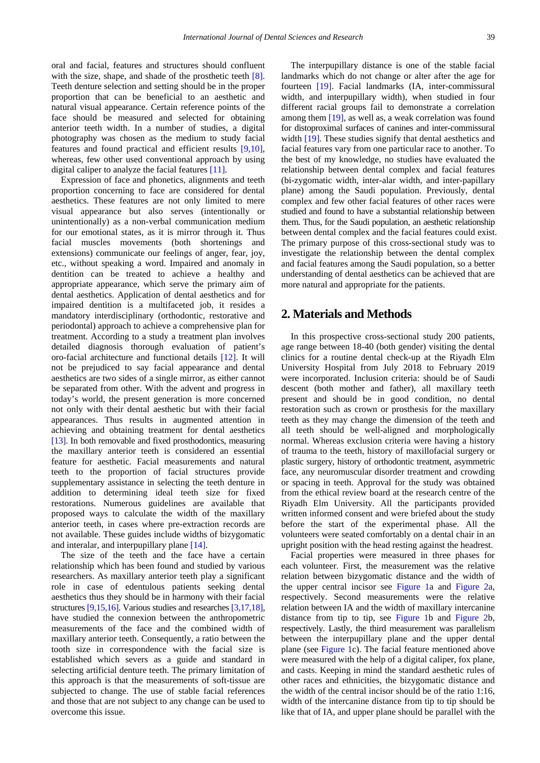oral and facial, features and structures should confluent with the size, shape, and shade of the prosthetic teeth [\[8\].](#page-5-4) Teeth denture selection and setting should be in the proper proportion that can be beneficial to an aesthetic and natural visual appearance. Certain reference points of the face should be measured and selected for obtaining anterior teeth width. In a number of studies, a digital photography was chosen as the medium to study facial features and found practical and efficient results [\[9,10\],](#page-5-5) whereas, few other used conventional approach by using digital caliper to analyze the facial features [\[11\].](#page-5-6)

Expression of face and phonetics, alignments and teeth proportion concerning to face are considered for dental aesthetics. These features are not only limited to mere visual appearance but also serves (intentionally or unintentionally) as a non-verbal communication medium for our emotional states, as it is mirror through it. Thus facial muscles movements (both shortenings and extensions) communicate our feelings of anger, fear, joy, etc., without speaking a word. Impaired and anomaly in dentition can be treated to achieve a healthy and appropriate appearance, which serve the primary aim of dental aesthetics. Application of dental aesthetics and for impaired dentition is a multifaceted job, it resides a mandatory interdisciplinary (orthodontic, restorative and periodontal) approach to achieve a comprehensive plan for treatment. According to a study a treatment plan involves detailed diagnosis thorough evaluation of patient's oro-facial architecture and functional details [\[12\].](#page-5-7) It will not be prejudiced to say facial appearance and dental aesthetics are two sides of a single mirror, as either cannot be separated from other. With the advent and progress in today's world, the present generation is more concerned not only with their dental aesthetic but with their facial appearances. Thus results in augmented attention in achieving and obtaining treatment for dental aesthetics [\[13\].](#page-5-8) In both removable and fixed prosthodontics, measuring the maxillary anterior teeth is considered an essential feature for aesthetic. Facial measurements and natural teeth to the proportion of facial structures provide supplementary assistance in selecting the teeth denture in addition to determining ideal teeth size for fixed restorations. Numerous guidelines are available that proposed ways to calculate the width of the maxillary anterior teeth, in cases where pre-extraction records are not available. These guides include widths of bizygomatic and interalar, and interpupillary plane [\[14\].](#page-5-9)

The size of the teeth and the face have a certain relationship which has been found and studied by various researchers. As maxillary anterior teeth play a significant role in case of edentulous patients seeking dental aesthetics thus they should be in harmony with their facial structures [\[9,15,16\].](#page-5-5) Various studies and researches [\[3,17,18\],](#page-5-0) have studied the connexion between the anthropometric measurements of the face and the combined width of maxillary anterior teeth. Consequently, a ratio between the tooth size in correspondence with the facial size is established which severs as a guide and standard in selecting artificial denture teeth. The primary limitation of this approach is that the measurements of soft-tissue are subjected to change. The use of stable facial references and those that are not subject to any change can be used to overcome this issue.

The interpupillary distance is one of the stable facial landmarks which do not change or alter after the age for fourteen [\[19\].](#page-5-10) Facial landmarks (IA, inter-commissural width, and interpupillary width), when studied in four different racial groups fail to demonstrate a correlation among them [\[19\],](#page-5-10) as well as, a weak correlation was found for distoproximal surfaces of canines and inter-commissural widt[h \[19\].](#page-5-10) These studies signify that dental aesthetics and facial features vary from one particular race to another. To the best of my knowledge, no studies have evaluated the relationship between dental complex and facial features (bi-zygomatic width, inter-alar width, and inter-papillary plane) among the Saudi population. Previously, dental complex and few other facial features of other races were studied and found to have a substantial relationship between them. Thus, for the Saudi population, an aesthetic relationship between dental complex and the facial features could exist. The primary purpose of this cross-sectional study was to investigate the relationship between the dental complex and facial features among the Saudi population, so a better understanding of dental aesthetics can be achieved that are more natural and appropriate for the patients.

#### **2. Materials and Methods**

In this prospective cross-sectional study 200 patients, age range between 18-40 (both gender) visiting the dental clinics for a routine dental check-up at the Riyadh Elm University Hospital from July 2018 to February 2019 were incorporated. Inclusion criteria: should be of Saudi descent (both mother and father), all maxillary teeth present and should be in good condition, no dental restoration such as crown or prosthesis for the maxillary teeth as they may change the dimension of the teeth and all teeth should be well-aligned and morphologically normal. Whereas exclusion criteria were having a history of trauma to the teeth, history of maxillofacial surgery or plastic surgery, history of orthodontic treatment, asymmetric face, any neuromuscular disorder treatment and crowding or spacing in teeth. Approval for the study was obtained from the ethical review board at the research centre of the Riyadh Elm University. All the participants provided written informed consent and were briefed about the study before the start of the experimental phase. All the volunteers were seated comfortably on a dental chair in an upright position with the head resting against the headrest.

Facial properties were measured in three phases for each volunteer. First, the measurement was the relative relation between bizygomatic distance and the width of the upper central incisor see [Figure 1a](#page-2-0) and [Figure 2a](#page-2-1), respectively. Second measurements were the relative relation between IA and the width of maxillary intercanine distance from tip to tip, see [Figure 1b](#page-2-0) and [Figure 2b](#page-2-1), respectively. Lastly, the third measurement was parallelism between the interpupillary plane and the upper dental plane (see [Figure 1c](#page-2-0)). The facial feature mentioned above were measured with the help of a digital caliper, fox plane, and casts. Keeping in mind the standard aesthetic rules of other races and ethnicities, the bizygomatic distance and the width of the central incisor should be of the ratio 1:16, width of the intercanine distance from tip to tip should be like that of IA, and upper plane should be parallel with the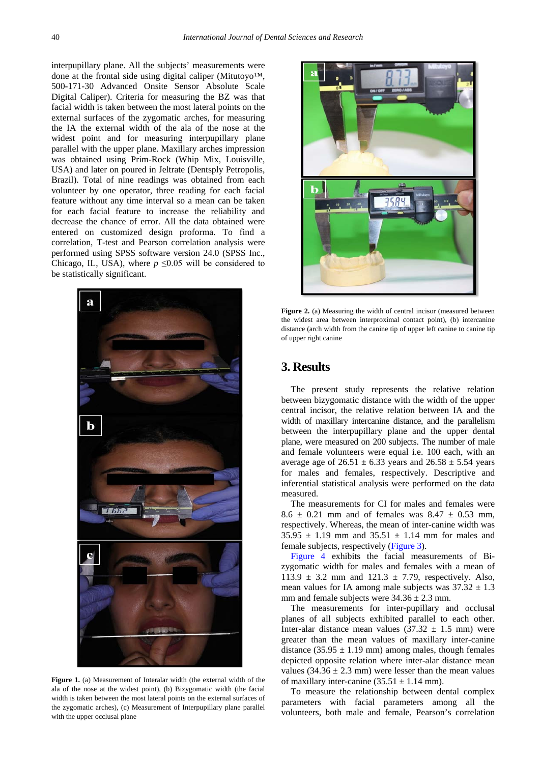interpupillary plane. All the subjects' measurements were done at the frontal side using digital caliper (Mitutoyo™, 500-171-30 Advanced Onsite Sensor Absolute Scale Digital Caliper). Criteria for measuring the BZ was that facial width is taken between the most lateral points on the external surfaces of the zygomatic arches, for measuring the IA the external width of the ala of the nose at the widest point and for measuring interpupillary plane parallel with the upper plane. Maxillary arches impression was obtained using Prim-Rock (Whip Mix, Louisville, USA) and later on poured in Jeltrate (Dentsply Petropolis, Brazil). Total of nine readings was obtained from each volunteer by one operator, three reading for each facial feature without any time interval so a mean can be taken for each facial feature to increase the reliability and decrease the chance of error. All the data obtained were entered on customized design proforma. To find a correlation, T-test and Pearson correlation analysis were performed using SPSS software version 24.0 (SPSS Inc., Chicago, IL, USA), where  $p \le 0.05$  will be considered to be statistically significant.

<span id="page-2-0"></span>

Figure 1. (a) Measurement of Interalar width (the external width of the ala of the nose at the widest point), (b) Bizygomatic width (the facial width is taken between the most lateral points on the external surfaces of the zygomatic arches), (c) Measurement of Interpupillary plane parallel with the upper occlusal plane

<span id="page-2-1"></span>

Figure 2. (a) Measuring the width of central incisor (measured between the widest area between interproximal contact point), (b) intercanine distance (arch width from the canine tip of upper left canine to canine tip of upper right canine

## **3. Results**

The present study represents the relative relation between bizygomatic distance with the width of the upper central incisor, the relative relation between IA and the width of maxillary intercanine distance, and the parallelism between the interpupillary plane and the upper dental plane, were measured on 200 subjects. The number of male and female volunteers were equal i.e. 100 each, with an average age of  $26.51 \pm 6.33$  years and  $26.58 \pm 5.54$  years for males and females, respectively. Descriptive and inferential statistical analysis were performed on the data measured.

The measurements for CI for males and females were  $8.6 \pm 0.21$  mm and of females was  $8.47 \pm 0.53$  mm, respectively. Whereas, the mean of inter-canine width was  $35.95 \pm 1.19$  mm and  $35.51 \pm 1.14$  mm for males and female subjects, respectively [\(Figure 3\)](#page-3-0).

[Figure 4](#page-3-1) exhibits the facial measurements of Bizygomatic width for males and females with a mean of 113.9  $\pm$  3.2 mm and 121.3  $\pm$  7.79, respectively. Also, mean values for IA among male subjects was  $37.32 \pm 1.3$ mm and female subjects were  $34.36 \pm 2.3$  mm.

The measurements for inter-pupillary and occlusal planes of all subjects exhibited parallel to each other. Inter-alar distance mean values  $(37.32 \pm 1.5 \text{ mm})$  were greater than the mean values of maxillary inter-canine distance  $(35.95 \pm 1.19 \text{ mm})$  among males, though females depicted opposite relation where inter-alar distance mean values  $(34.36 \pm 2.3 \text{ mm})$  were lesser than the mean values of maxillary inter-canine  $(35.51 \pm 1.14 \text{ mm})$ .

To measure the relationship between dental complex parameters with facial parameters among all the volunteers, both male and female, Pearson's correlation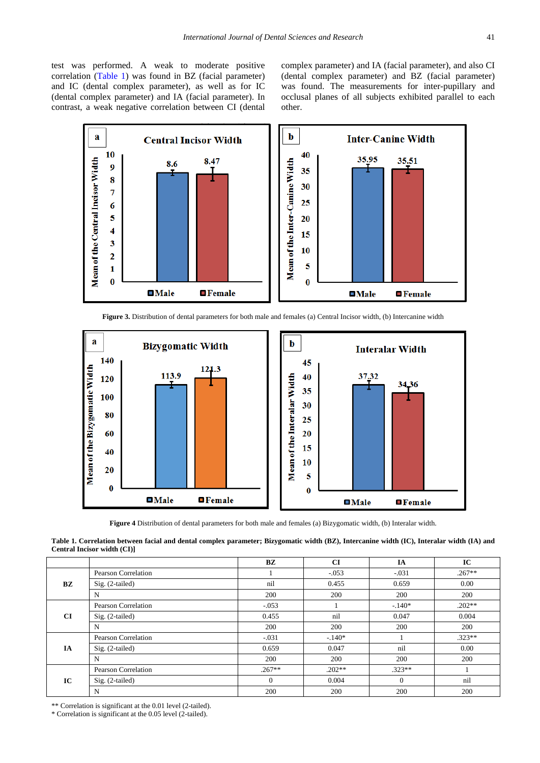test was performed. A weak to moderate positive correlation [\(Table 1\)](#page-3-2) was found in BZ (facial parameter) and IC (dental complex parameter), as well as for IC (dental complex parameter) and IA (facial parameter). In contrast, a weak negative correlation between CI (dental complex parameter) and IA (facial parameter), and also CI (dental complex parameter) and BZ (facial parameter) was found. The measurements for inter-pupillary and occlusal planes of all subjects exhibited parallel to each other.

<span id="page-3-0"></span>

**Figure 3.** Distribution of dental parameters for both male and females (a) Central Incisor width, (b) Intercanine width

<span id="page-3-1"></span>

**Figure 4** Distribution of dental parameters for both male and females (a) Bizygomatic width, (b) Interalar width.

**Table 1. Correlation between facial and dental complex parameter; Bizygomatic width (BZ), Intercanine width (IC), Interalar width (IA) and Central Incisor width (CI)]**

<span id="page-3-2"></span>

|    |                     | BZ       | CI       | IA       | IC       |
|----|---------------------|----------|----------|----------|----------|
| BZ | Pearson Correlation |          | $-.053$  | $-.031$  | $.267**$ |
|    | $Sig. (2-tailed)$   | nil      | 0.455    | 0.659    | 0.00     |
|    | N                   | 200      | 200      | 200      | 200      |
| CI | Pearson Correlation | $-.053$  |          | $-.140*$ | $.202**$ |
|    | $Sig. (2-tailed)$   | 0.455    | nil      | 0.047    | 0.004    |
|    | N                   | 200      | 200      | 200      | 200      |
| IA | Pearson Correlation | $-.031$  | $-140*$  |          | $.323**$ |
|    | Sig. (2-tailed)     | 0.659    | 0.047    | nil      | 0.00     |
|    | N                   | 200      | 200      | 200      | 200      |
| IC | Pearson Correlation | $.267**$ | $.202**$ | $.323**$ |          |
|    | Sig. (2-tailed)     | $\Omega$ | 0.004    | $\Omega$ | nil      |
|    | N                   | 200      | 200      | 200      | 200      |

\*\* Correlation is significant at the 0.01 level (2-tailed).

\* Correlation is significant at the 0.05 level (2-tailed).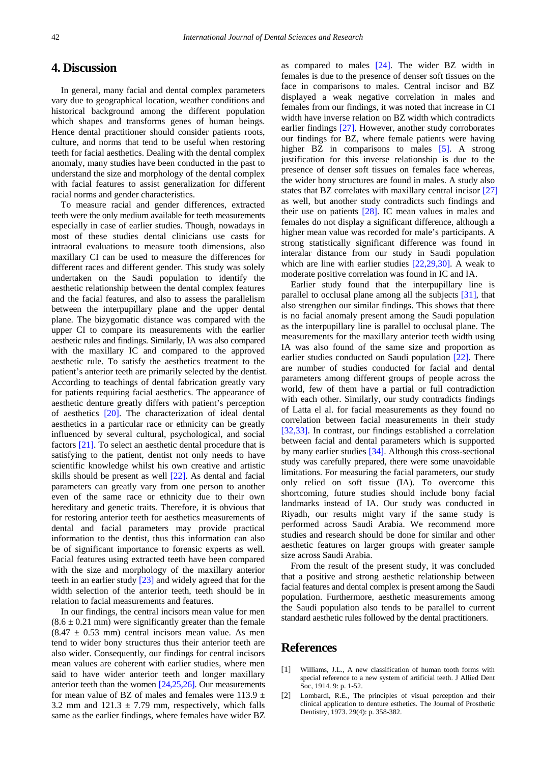### **4. Discussion**

In general, many facial and dental complex parameters vary due to geographical location, weather conditions and historical background among the different population which shapes and transforms genes of human beings. Hence dental practitioner should consider patients roots, culture, and norms that tend to be useful when restoring teeth for facial aesthetics. Dealing with the dental complex anomaly, many studies have been conducted in the past to understand the size and morphology of the dental complex with facial features to assist generalization for different racial norms and gender characteristics.

To measure racial and gender differences, extracted teeth were the only medium available for teeth measurements especially in case of earlier studies. Though, nowadays in most of these studies dental clinicians use casts for intraoral evaluations to measure tooth dimensions, also maxillary CI can be used to measure the differences for different races and different gender. This study was solely undertaken on the Saudi population to identify the aesthetic relationship between the dental complex features and the facial features, and also to assess the parallelism between the interpupillary plane and the upper dental plane. The bizygomatic distance was compared with the upper CI to compare its measurements with the earlier aesthetic rules and findings. Similarly, IA was also compared with the maxillary IC and compared to the approved aesthetic rule. To satisfy the aesthetics treatment to the patient's anterior teeth are primarily selected by the dentist. According to teachings of dental fabrication greatly vary for patients requiring facial aesthetics. The appearance of aesthetic denture greatly differs with patient's perception of aesthetics [\[20\].](#page-5-11) The characterization of ideal dental aesthetics in a particular race or ethnicity can be greatly influenced by several cultural, psychological, and social factors [\[21\].](#page-5-12) To select an aesthetic dental procedure that is satisfying to the patient, dentist not only needs to have scientific knowledge whilst his own creative and artistic skills should be present as well [\[22\].](#page-5-13) As dental and facial parameters can greatly vary from one person to another even of the same race or ethnicity due to their own hereditary and genetic traits. Therefore, it is obvious that for restoring anterior teeth for aesthetics measurements of dental and facial parameters may provide practical information to the dentist, thus this information can also be of significant importance to forensic experts as well. Facial features using extracted teeth have been compared with the size and morphology of the maxillary anterior teeth in an earlier study [\[23\]](#page-5-14) and widely agreed that for the width selection of the anterior teeth, teeth should be in relation to facial measurements and features.

In our findings, the central incisors mean value for men  $(8.6 \pm 0.21$  mm) were significantly greater than the female  $(8.47 \pm 0.53 \text{ mm})$  central incisors mean value. As men tend to wider bony structures thus their anterior teeth are also wider. Consequently, our findings for central incisors mean values are coherent with earlier studies, where men said to have wider anterior teeth and longer maxillary anterior teeth than the women [\[24,25,26\].](#page-5-15) Our measurements for mean value of BZ of males and females were 113.9  $\pm$ 3.2 mm and  $121.3 \pm 7.79$  mm, respectively, which falls same as the earlier findings, where females have wider BZ

as compared to males [\[24\].](#page-5-15) The wider BZ width in females is due to the presence of denser soft tissues on the face in comparisons to males. Central incisor and BZ displayed a weak negative correlation in males and females from our findings, it was noted that increase in CI width have inverse relation on BZ width which contradicts earlier findings [\[27\].](#page-5-16) However, another study corroborates our findings for BZ, where female patients were having higher BZ in comparisons to males [\[5\].](#page-5-17) A strong justification for this inverse relationship is due to the presence of denser soft tissues on females face whereas, the wider bony structures are found in males. A study also states that BZ correlates with maxillary central incisor [\[27\]](#page-5-16) as well, but another study contradicts such findings and their use on patients [\[28\].](#page-5-18) IC mean values in males and females do not display a significant difference, although a higher mean value was recorded for male's participants. A strong statistically significant difference was found in interalar distance from our study in Saudi population which are line with earlier studies [\[22,29,30\].](#page-5-13) A weak to moderate positive correlation was found in IC and IA.

Earlier study found that the interpupillary line is parallel to occlusal plane among all the subjects [\[31\],](#page-5-19) that also strengthen our similar findings. This shows that there is no facial anomaly present among the Saudi population as the interpupillary line is parallel to occlusal plane. The measurements for the maxillary anterior teeth width using IA was also found of the same size and proportion as earlier studies conducted on Saudi population [\[22\].](#page-5-13) There are number of studies conducted for facial and dental parameters among different groups of people across the world, few of them have a partial or full contradiction with each other. Similarly, our study contradicts findings of Latta el al. for facial measurements as they found no correlation between facial measurements in their study [\[32,33\].](#page-5-20) In contrast, our findings established a correlation between facial and dental parameters which is supported by many earlier studies [\[34\].](#page-5-21) Although this cross-sectional study was carefully prepared, there were some unavoidable limitations. For measuring the facial parameters, our study only relied on soft tissue (IA). To overcome this shortcoming, future studies should include bony facial landmarks instead of IA. Our study was conducted in Riyadh, our results might vary if the same study is performed across Saudi Arabia. We recommend more studies and research should be done for similar and other aesthetic features on larger groups with greater sample size across Saudi Arabia.

From the result of the present study, it was concluded that a positive and strong aesthetic relationship between facial features and dental complex is present among the Saudi population. Furthermore, aesthetic measurements among the Saudi population also tends to be parallel to current standard aesthetic rules followed by the dental practitioners.

#### **References**

- <span id="page-4-0"></span>[1] Williams, J.L., A new classification of human tooth forms with special reference to a new system of artificial teeth. J Allied Dent Soc, 1914. 9: p. 1-52.
- <span id="page-4-1"></span>[2] Lombardi, R.E., The principles of visual perception and their clinical application to denture esthetics. The Journal of Prosthetic Dentistry, 1973. 29(4): p. 358-382.